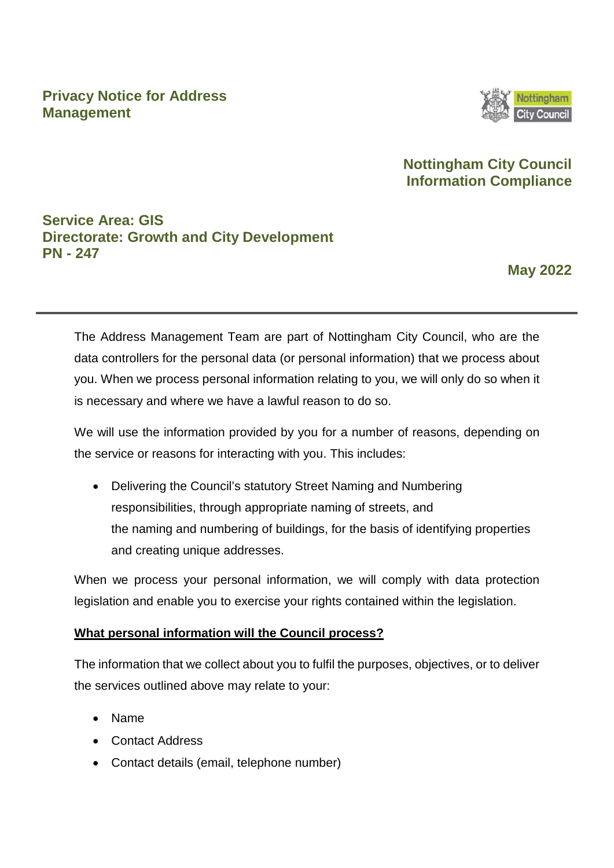### **Privacy Notice for Address Management**



## **Nottingham City Council Information Compliance**

## **Service Area: GIS Directorate: Growth and City Development PN - 247**

**May 2022** 

The Address Management Team are part of Nottingham City Council, who are the data controllers for the personal data (or personal information) that we process about you. When we process personal information relating to you, we will only do so when it is necessary and where we have a lawful reason to do so.

We will use the information provided by you for a number of reasons, depending on the service or reasons for interacting with you. This includes:

• Delivering the Council's statutory Street Naming and Numbering responsibilities, through appropriate naming of streets, and the naming and numbering of buildings, for the basis of identifying properties and creating unique addresses.

When we process your personal information, we will comply with data protection legislation and enable you to exercise your rights contained within the legislation.

### **What personal information will the Council process?**

The information that we collect about you to fulfil the purposes, objectives, or to deliver the services outlined above may relate to your:

- Name
- Contact Address
- Contact details (email, telephone number)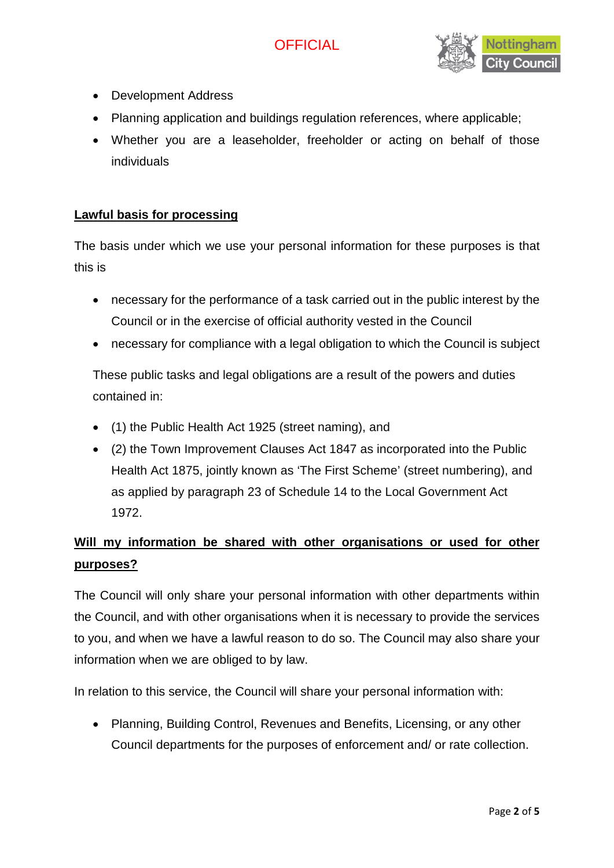# **OFFICIAL**



- Development Address
- Planning application and buildings regulation references, where applicable;
- Whether you are a leaseholder, freeholder or acting on behalf of those individuals

### **Lawful basis for processing**

The basis under which we use your personal information for these purposes is that this is

- necessary for the performance of a task carried out in the public interest by the Council or in the exercise of official authority vested in the Council
- necessary for compliance with a legal obligation to which the Council is subject

These public tasks and legal obligations are a result of the powers and duties contained in:

- (1) the Public Health Act 1925 (street naming), and
- (2) the Town Improvement Clauses Act 1847 as incorporated into the Public Health Act 1875, jointly known as 'The First Scheme' (street numbering), and as applied by paragraph 23 of Schedule 14 to the Local Government Act 1972.

# **Will my information be shared with other organisations or used for other purposes?**

The Council will only share your personal information with other departments within the Council, and with other organisations when it is necessary to provide the services to you, and when we have a lawful reason to do so. The Council may also share your information when we are obliged to by law.

In relation to this service, the Council will share your personal information with:

• Planning, Building Control, Revenues and Benefits, Licensing, or any other Council departments for the purposes of enforcement and/ or rate collection.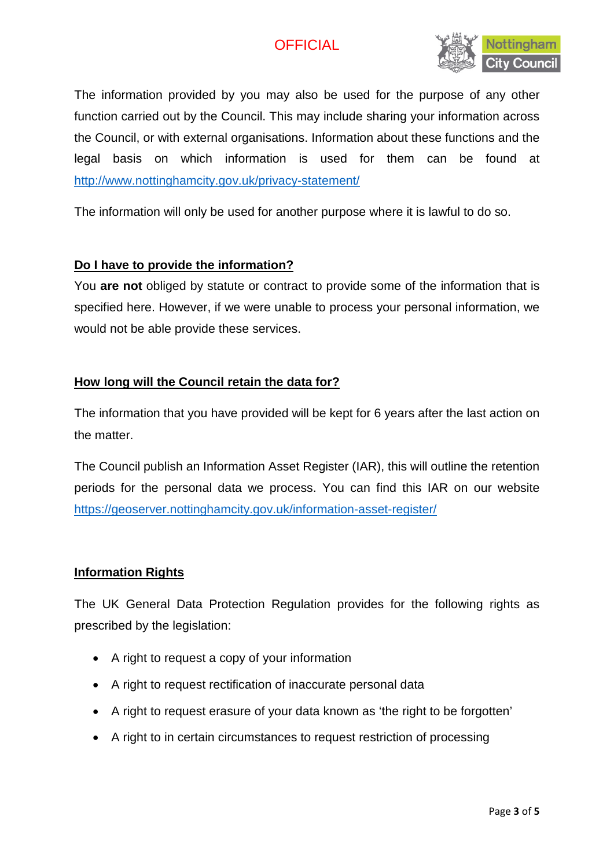# **OFFICIAL**



The information provided by you may also be used for the purpose of any other function carried out by the Council. This may include sharing your information across the Council, or with external organisations. Information about these functions and the legal basis on which information is used for them can be found at <http://www.nottinghamcity.gov.uk/privacy-statement/>

The information will only be used for another purpose where it is lawful to do so.

### **Do I have to provide the information?**

You **are not** obliged by statute or contract to provide some of the information that is specified here. However, if we were unable to process your personal information, we would not be able provide these services.

### **How long will the Council retain the data for?**

The information that you have provided will be kept for 6 years after the last action on the matter.

The Council publish an Information Asset Register (IAR), this will outline the retention periods for the personal data we process. You can find this IAR on our website <https://geoserver.nottinghamcity.gov.uk/information-asset-register/>

### **Information Rights**

The UK General Data Protection Regulation provides for the following rights as prescribed by the legislation:

- A right to request a copy of your information
- A right to request rectification of inaccurate personal data
- A right to request erasure of your data known as 'the right to be forgotten'
- A right to in certain circumstances to request restriction of processing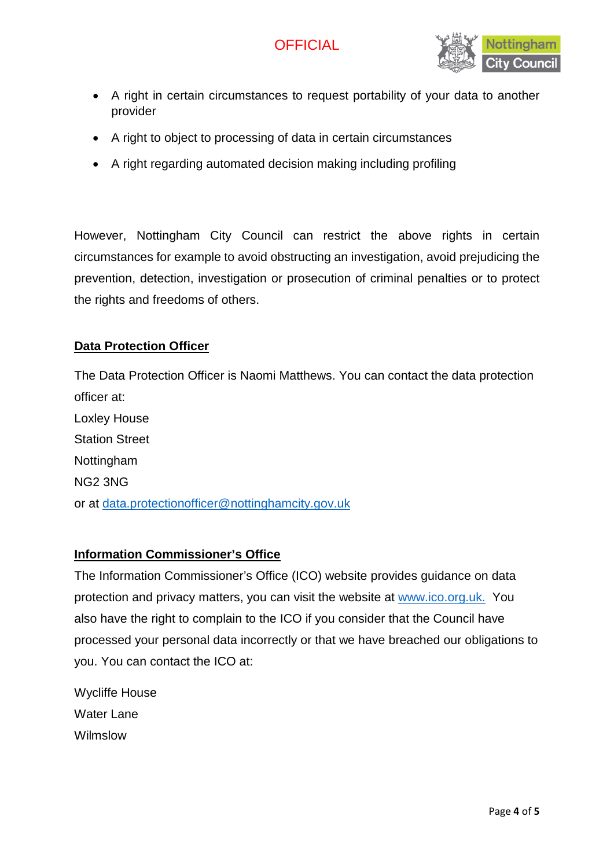

- A right in certain circumstances to request portability of your data to another provider
- A right to object to processing of data in certain circumstances
- A right regarding automated decision making including profiling

However, Nottingham City Council can restrict the above rights in certain circumstances for example to avoid obstructing an investigation, avoid prejudicing the prevention, detection, investigation or prosecution of criminal penalties or to protect the rights and freedoms of others.

#### **Data Protection Officer**

The Data Protection Officer is Naomi Matthews. You can contact the data protection officer at: Loxley House Station Street Nottingham NG2 3NG or at [data.protectionofficer@nottinghamcity.gov.uk](mailto:data.protectionofficer@nottinghamcity.gov.uk)

#### **Information Commissioner's Office**

The Information Commissioner's Office (ICO) website provides guidance on data protection and privacy matters, you can visit the website at [www.ico.org.uk.](http://www.ico.org.uk/) You also have the right to complain to the ICO if you consider that the Council have processed your personal data incorrectly or that we have breached our obligations to you. You can contact the ICO at:

Wycliffe House Water Lane Wilmslow